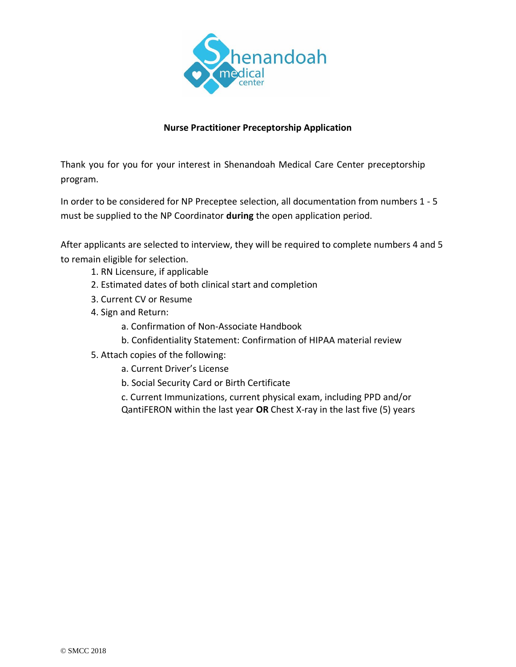

### **Nurse Practitioner Preceptorship Application**

Thank you for you for your interest in Shenandoah Medical Care Center preceptorship program.

In order to be considered for NP Preceptee selection, all documentation from numbers 1 - 5 must be supplied to the NP Coordinator **during** the open application period.

After applicants are selected to interview, they will be required to complete numbers 4 and 5 to remain eligible for selection.

- 1. RN Licensure, if applicable
- 2. Estimated dates of both clinical start and completion
- 3. Current CV or Resume
- 4. Sign and Return:
	- a. Confirmation of Non-Associate Handbook
	- b. Confidentiality Statement: Confirmation of HIPAA material review
- 5. Attach copies of the following:
	- a. Current Driver's License
	- b. Social Security Card or Birth Certificate

c. Current Immunizations, current physical exam, including PPD and/or QantiFERON within the last year **OR** Chest X-ray in the last five (5) years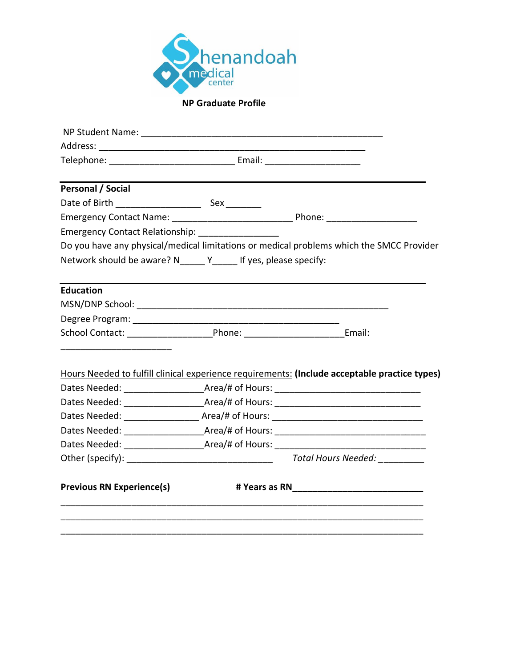

# **NP Graduate Profile**

| <b>Personal / Social</b>                                        |                                                                                               |
|-----------------------------------------------------------------|-----------------------------------------------------------------------------------------------|
|                                                                 |                                                                                               |
|                                                                 |                                                                                               |
| Emergency Contact Relationship: _________________               |                                                                                               |
|                                                                 | Do you have any physical/medical limitations or medical problems which the SMCC Provider      |
| Network should be aware? N______ Y_____ If yes, please specify: |                                                                                               |
|                                                                 |                                                                                               |
| <b>Education</b>                                                |                                                                                               |
|                                                                 |                                                                                               |
|                                                                 |                                                                                               |
|                                                                 |                                                                                               |
|                                                                 |                                                                                               |
|                                                                 |                                                                                               |
|                                                                 | Hours Needed to fulfill clinical experience requirements: (Include acceptable practice types) |
|                                                                 |                                                                                               |
|                                                                 |                                                                                               |
|                                                                 | Dates Needed: _____________________Area/# of Hours: ____________________________              |
|                                                                 |                                                                                               |
|                                                                 |                                                                                               |
|                                                                 | Total Hours Needed: _________                                                                 |
| <b>Previous RN Experience(s)</b>                                |                                                                                               |
|                                                                 |                                                                                               |
|                                                                 |                                                                                               |